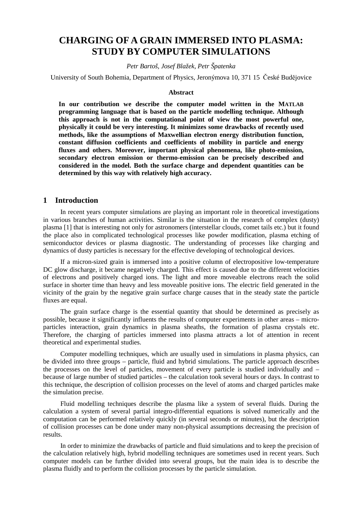# **CHARGING OF A GRAIN IMMERSED INTO PLASMA: STUDY BY COMPUTER SIMULATIONS**

# *Petr Bartoš, Josef Blažek, Petr Špatenka*

University of South Bohemia, Department of Physics, Jeronýmova 10, 371 15 České Budějovice

#### **Abstract**

**In our contribution we describe the computer model written in the MATLAB programming language that is based on the particle modelling technique. Although this approach is not in the computational point of view the most powerful one, physically it could be very interesting. It minimizes some drawbacks of recently used methods, like the assumptions of Maxwellian electron energy distribution function, constant diffusion coefficients and coefficients of mobility in particle and energy fluxes and others. Moreover, important physical phenomena, like photo-emission, secondary electron emission or thermo-emission can be precisely described and considered in the model. Both the surface charge and dependent quantities can be determined by this way with relatively high accuracy.** 

#### **1 Introduction**

In recent years computer simulations are playing an important role in theoretical investigations in various branches of human activities. Similar is the situation in the research of complex (dusty) plasma [1] that is interesting not only for astronomers (interstellar clouds, comet tails etc.) but it found the place also in complicated technological processes like powder modification, plasma etching of semiconductor devices or plasma diagnostic. The understanding of processes like charging and dynamics of dusty particles is necessary for the effective developing of technological devices.

If a micron-sized grain is immersed into a positive column of electropositive low-temperature DC glow discharge, it became negatively charged. This effect is caused due to the different velocities of electrons and positively charged ions. The light and more moveable electrons reach the solid surface in shorter time than heavy and less moveable positive ions. The electric field generated in the vicinity of the grain by the negative grain surface charge causes that in the steady state the particle fluxes are equal.

The grain surface charge is the essential quantity that should be determined as precisely as possible, because it significantly influents the results of computer experiments in other areas – microparticles interaction, grain dynamics in plasma sheaths, the formation of plasma crystals etc. Therefore, the charging of particles immersed into plasma attracts a lot of attention in recent theoretical and experimental studies.

Computer modelling techniques, which are usually used in simulations in plasma physics, can be divided into three groups – particle, fluid and hybrid simulations. The particle approach describes the processes on the level of particles, movement of every particle is studied individually and – because of large number of studied particles – the calculation took several hours or days. In contrast to this technique, the description of collision processes on the level of atoms and charged particles make the simulation precise.

Fluid modelling techniques describe the plasma like a system of several fluids. During the calculation a system of several partial integro-differential equations is solved numerically and the computation can be performed relatively quickly (in several seconds or minutes), but the description of collision processes can be done under many non-physical assumptions decreasing the precision of results.

In order to minimize the drawbacks of particle and fluid simulations and to keep the precision of the calculation relatively high, hybrid modelling techniques are sometimes used in recent years. Such computer models can be further divided into several groups, but the main idea is to describe the plasma fluidly and to perform the collision processes by the particle simulation.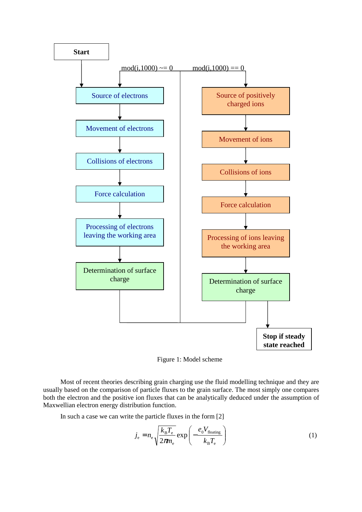

Figure 1: Model scheme

Most of recent theories describing grain charging use the fluid modelling technique and they are usually based on the comparison of particle fluxes to the grain surface. The most simply one compares both the electron and the positive ion fluxes that can be analytically deduced under the assumption of Maxwellian electron energy distribution function.

In such a case we can write the particle fluxes in the form [2]

$$
j_e = n_e \sqrt{\frac{k_B T_e}{2\pi m_e}} \exp\left(-\frac{e_0 V_{\text{floating}}}{k_B T_e}\right)
$$
(1)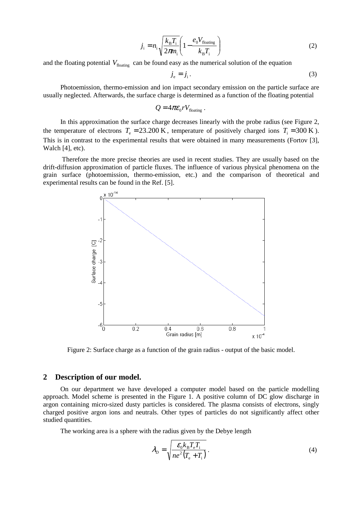$$
j_{\rm i} = n_{\rm i} \sqrt{\frac{k_{\rm B} T_{\rm i}}{2\pi m_{\rm i}}} \left( 1 - \frac{e_0 V_{\rm floating}}{k_{\rm B} T_{\rm i}} \right) \tag{2}
$$

and the floating potential  $V_{\text{floating}}$  can be found easy as the numerical solution of the equation

$$
j_{\rm e} = j_{\rm i} \,. \tag{3}
$$

Photoemission, thermo-emission and ion impact secondary emission on the particle surface are usually neglected. Afterwards, the surface charge is determined as a function of the floating potential

$$
Q = 4\pi\varepsilon_0 r V_{\text{floating}}.
$$

In this approximation the surface charge decreases linearly with the probe radius (see Figure 2, the temperature of electrons  $T_e = 23.200 \text{ K}$ , temperature of positively charged ions  $T_i = 300 \text{ K}$ ). This is in contrast to the experimental results that were obtained in many measurements (Fortov [3], Walch [4], etc).

 Therefore the more precise theories are used in recent studies. They are usually based on the drift-diffusion approximation of particle fluxes. The influence of various physical phenomena on the grain surface (photoemission, thermo-emission, etc.) and the comparison of theoretical and experimental results can be found in the Ref. [5].



Figure 2: Surface charge as a function of the grain radius - output of the basic model.

#### **2 Description of our model.**

On our department we have developed a computer model based on the particle modelling approach. Model scheme is presented in the Figure 1. A positive column of DC glow discharge in argon containing micro-sized dusty particles is considered. The plasma consists of electrons, singly charged positive argon ions and neutrals. Other types of particles do not significantly affect other studied quantities.

The working area is a sphere with the radius given by the Debye length

$$
\lambda_{\rm D} = \sqrt{\frac{\mathcal{E}_0 k_{\rm B} T_{\rm e} T_{\rm i}}{ne^2 (T_{\rm e} + T_{\rm i})}}.
$$
\n(4)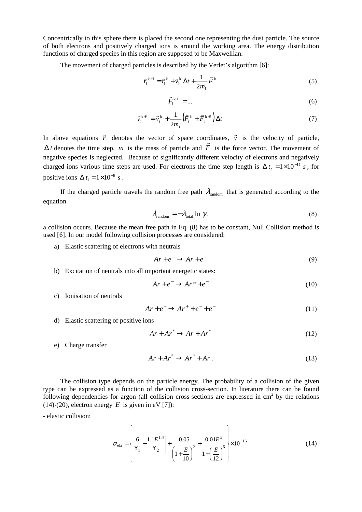Concentrically to this sphere there is placed the second one representing the dust particle. The source of both electrons and positively charged ions is around the working area. The energy distribution functions of charged species in this region are supposed to be Maxwellian.

The movement of charged particles is described by the Verlet's algorithm [6]:

$$
\vec{r}_{i}^{k+1} = \vec{r}_{i}^{k} + \vec{v}_{i}^{k} \Delta t + \frac{1}{2m_{i}} \vec{F}_{i}^{k}
$$
 (5)

$$
\vec{F}_{i}^{k+1} = \dots \tag{6}
$$

$$
\vec{v}_{i}^{k+1} = \vec{v}_{i}^{k} + \frac{1}{2m_{i}} \left( \vec{F}_{i}^{k} + \vec{F}_{i}^{k+1} \right) \Delta t \tag{7}
$$

In above equations *r* r denotes the vector of space coordinates, *v*  $\overline{\phantom{a}}$ rdinates,  $\vec{v}$  is the velocity of particle,  $\Delta t$  denotes the time step, *m* is the mass of particle and *F* is the force vector. The movement of negative species is neglected. Because of significantly different velocity of electrons and negatively charged ions various time steps are used. For electrons the time step length is  $\Delta t_e = 1 \times 10^{-11}$  s, for positive ions  $\Delta t_i = 1 \times 10^{-8}$  *s*.

If the charged particle travels the random free path  $\lambda_{\text{random}}$  that is generated according to the equation

$$
\lambda_{\text{random}} = -\lambda_{\text{total}} \ln \gamma, \tag{8}
$$

a collision occurs. Because the mean free path in Eq. (8) has to be constant, Null Collision method is used [6]. In our model following collision processes are considered:

a) Elastic scattering of electrons with neutrals

$$
Ar + e^- \to Ar + e^- \tag{9}
$$

b) Excitation of neutrals into all important energetic states:

$$
Ar + e^- \to Ar^* + e^- \tag{10}
$$

c) Ionisation of neutrals

$$
Ar + e^- \rightarrow Ar^+ + e^- + e^- \tag{11}
$$

d) Elastic scattering of positive ions

$$
Ar + Ar^* \to Ar + Ar^* \tag{12}
$$

e) Charge transfer

$$
Ar + Ar^* \to Ar^* + Ar. \tag{13}
$$

The collision type depends on the particle energy. The probability of a collision of the given type can be expressed as a function of the collision cross-section. In literature there can be found following dependencies for argon (all collision cross-sections are expressed in  $\text{cm}^2$  by the relations  $(14)-(20)$ , electron energy *E* is given in eV [7]):

- elastic collision:

$$
\sigma_{\text{ela}} = \left\{ \left| \frac{6}{Y_1} - \frac{1.1E^{1.4}}{Y_2} \right| + \frac{0.05}{\left(1 + \frac{E}{10}\right)^2} + \frac{0.01E^3}{1 + \left(\frac{E}{12}\right)^6} \right\} \times 10^{-16}
$$
 (14)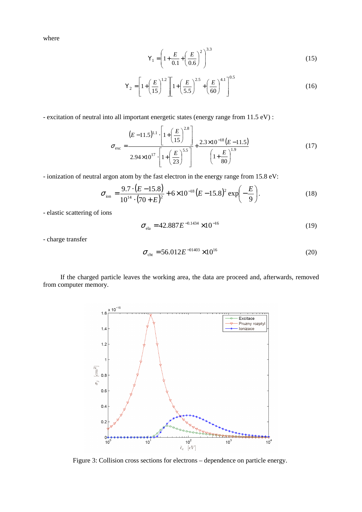where

$$
Y_1 = \left(1 + \frac{E}{0.1} + \left(\frac{E}{0.6}\right)^2\right)^{3.3}
$$
 (15)

$$
Y_2 = \left[1 + \left(\frac{E}{15}\right)^{1.2}\right] \left[1 + \left(\frac{E}{5.5}\right)^{2.5} + \left(\frac{E}{60}\right)^{4.1}\right]^{0.5}
$$
(16)

- excitation of neutral into all important energetic states (energy range from 11.5 eV) :

$$
\sigma_{\text{exc}} = \frac{(E - 11.5)^{1.1} \cdot \left[1 + \left(\frac{E}{15}\right)^{2.8}\right]}{2.94 \times 10^{17} \cdot \left[1 + \left(\frac{E}{23}\right)^{5.5}\right]} + \frac{2.3 \times 10^{-18} (E - 11.5)}{\left(1 + \frac{E}{80}\right)^{1.9}}
$$
(17)

- ionization of neutral argon atom by the fast electron in the energy range from 15.8 eV:

$$
\sigma_{\text{ion}} = \frac{9.7 \cdot (E - 15.8)}{10^{14} \cdot (70 + E)^2} + 6 \times 10^{-18} (E - 15.8)^2 \exp\left(-\frac{E}{9}\right).
$$
 (18)

- elastic scattering of ions

$$
\sigma_{\text{ela}} = 42.887 E^{-0.1434} \times 10^{-16} \tag{19}
$$

- charge transfer

$$
\sigma_{\text{cht}} = 56.012 E^{-01403} \times 10^{16} \tag{20}
$$

If the charged particle leaves the working area, the data are proceed and, afterwards, removed from computer memory.



Figure 3: Collision cross sections for electrons – dependence on particle energy.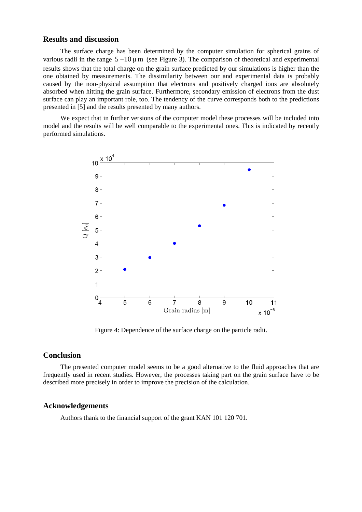#### **Results and discussion**

The surface charge has been determined by the computer simulation for spherical grains of various radii in the range  $5 - 10 \,\mu$ m (see Figure 3). The comparison of theoretical and experimental results shows that the total charge on the grain surface predicted by our simulations is higher than the one obtained by measurements. The dissimilarity between our and experimental data is probably caused by the non-physical assumption that electrons and positively charged ions are absolutely absorbed when hitting the grain surface. Furthermore, secondary emission of electrons from the dust surface can play an important role, too. The tendency of the curve corresponds both to the predictions presented in [5] and the results presented by many authors.

We expect that in further versions of the computer model these processes will be included into model and the results will be well comparable to the experimental ones. This is indicated by recently performed simulations.



Figure 4: Dependence of the surface charge on the particle radii.

### **Conclusion**

The presented computer model seems to be a good alternative to the fluid approaches that are frequently used in recent studies. However, the processes taking part on the grain surface have to be described more precisely in order to improve the precision of the calculation.

#### **Acknowledgements**

Authors thank to the financial support of the grant KAN 101 120 701.